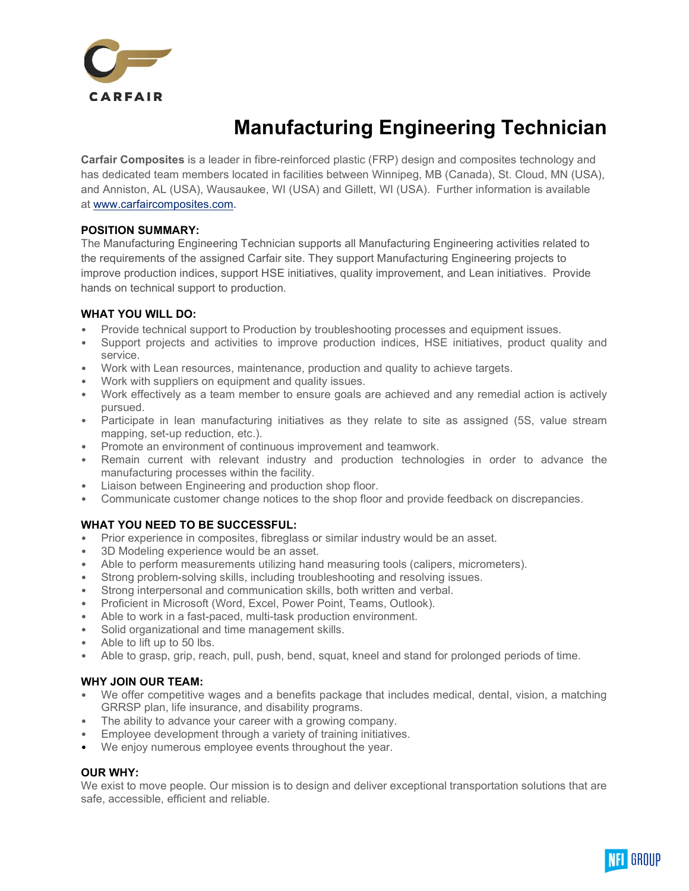

# Manufacturing Engineering Technician

Carfair Composites is a leader in fibre-reinforced plastic (FRP) design and composites technology and has dedicated team members located in facilities between Winnipeg, MB (Canada), St. Cloud, MN (USA), and Anniston, AL (USA), Wausaukee, WI (USA) and Gillett, WI (USA). Further information is available at www.carfaircomposites.com.

## POSITION SUMMARY:

The Manufacturing Engineering Technician supports all Manufacturing Engineering activities related to the requirements of the assigned Carfair site. They support Manufacturing Engineering projects to improve production indices, support HSE initiatives, quality improvement, and Lean initiatives. Provide hands on technical support to production.

#### WHAT YOU WILL DO:

- Provide technical support to Production by troubleshooting processes and equipment issues.
- Support projects and activities to improve production indices, HSE initiatives, product quality and service.
- Work with Lean resources, maintenance, production and quality to achieve targets.
- Work with suppliers on equipment and quality issues.
- Work effectively as a team member to ensure goals are achieved and any remedial action is actively pursued.
- Participate in lean manufacturing initiatives as they relate to site as assigned (5S, value stream mapping, set-up reduction, etc.).
- Promote an environment of continuous improvement and teamwork.
- Remain current with relevant industry and production technologies in order to advance the manufacturing processes within the facility.
- Liaison between Engineering and production shop floor.
- Communicate customer change notices to the shop floor and provide feedback on discrepancies.

## WHAT YOU NEED TO BE SUCCESSFUL:

- Prior experience in composites, fibreglass or similar industry would be an asset.
- 3D Modeling experience would be an asset.
- Able to perform measurements utilizing hand measuring tools (calipers, micrometers).
- Strong problem-solving skills, including troubleshooting and resolving issues.
- Strong interpersonal and communication skills, both written and verbal.
- Proficient in Microsoft (Word, Excel, Power Point, Teams, Outlook).
- Able to work in a fast-paced, multi-task production environment.
- Solid organizational and time management skills.
- Able to lift up to 50 lbs.
- Able to grasp, grip, reach, pull, push, bend, squat, kneel and stand for prolonged periods of time.

## WHY JOIN OUR TEAM:

- We offer competitive wages and a benefits package that includes medical, dental, vision, a matching GRRSP plan, life insurance, and disability programs.
- The ability to advance your career with a growing company.
- Employee development through a variety of training initiatives.
- We enjoy numerous employee events throughout the year.

## OUR WHY:

We exist to move people. Our mission is to design and deliver exceptional transportation solutions that are safe, accessible, efficient and reliable.